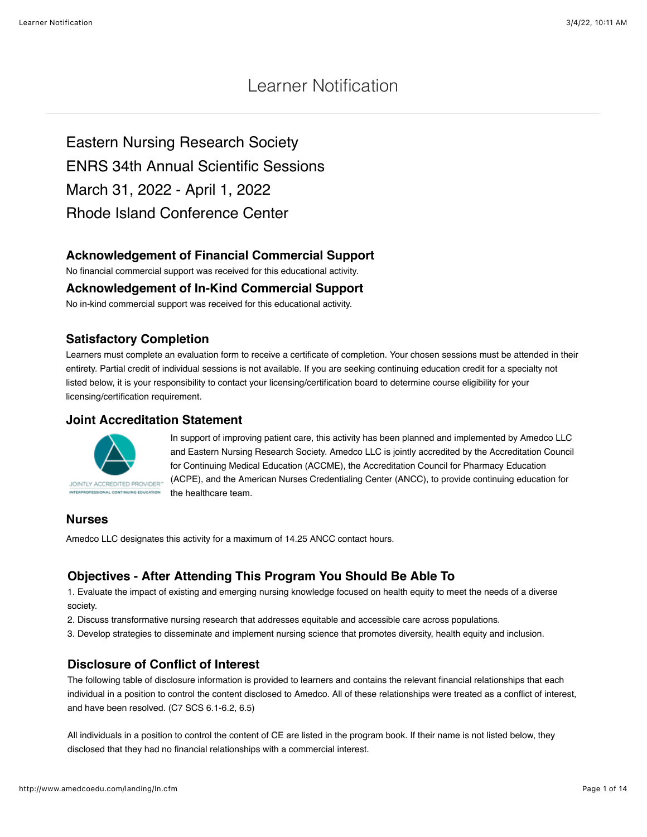# Learner Notification

Eastern Nursing Research Society ENRS 34th Annual Scientific Sessions March 31, 2022 - April 1, 2022 Rhode Island Conference Center

## **Acknowledgement of Financial Commercial Support**

No financial commercial support was received for this educational activity.

#### **Acknowledgement of In-Kind Commercial Support**

No in-kind commercial support was received for this educational activity.

## **Satisfactory Completion**

Learners must complete an evaluation form to receive a certificate of completion. Your chosen sessions must be attended in their entirety. Partial credit of individual sessions is not available. If you are seeking continuing education credit for a specialty not listed below, it is your responsibility to contact your licensing/certification board to determine course eligibility for your licensing/certification requirement.

#### **Joint Accreditation Statement**



In support of improving patient care, this activity has been planned and implemented by Amedco LLC and Eastern Nursing Research Society. Amedco LLC is jointly accredited by the Accreditation Council for Continuing Medical Education (ACCME), the Accreditation Council for Pharmacy Education (ACPE), and the American Nurses Credentialing Center (ANCC), to provide continuing education for the healthcare team.

## **Nurses**

Amedco LLC designates this activity for a maximum of 14.25 ANCC contact hours.

## **Objectives - After Attending This Program You Should Be Able To**

1. Evaluate the impact of existing and emerging nursing knowledge focused on health equity to meet the needs of a diverse society.

2. Discuss transformative nursing research that addresses equitable and accessible care across populations.

3. Develop strategies to disseminate and implement nursing science that promotes diversity, health equity and inclusion.

#### **Disclosure of Conflict of Interest**

The following table of disclosure information is provided to learners and contains the relevant financial relationships that each individual in a position to control the content disclosed to Amedco. All of these relationships were treated as a conflict of interest, and have been resolved. (C7 SCS 6.1-6.2, 6.5)

All individuals in a position to control the content of CE are listed in the program book. If their name is not listed below, they disclosed that they had no financial relationships with a commercial interest.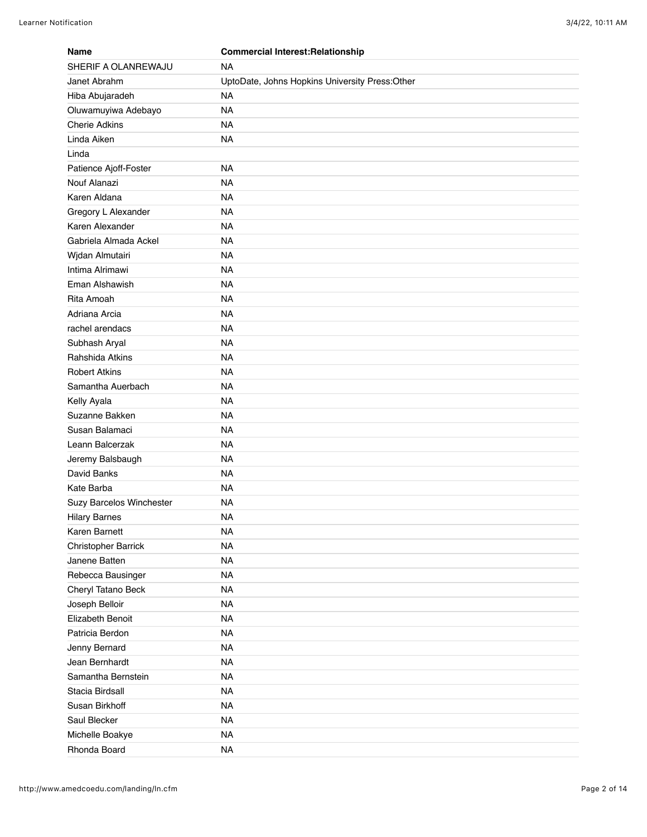| <b>Name</b>              | <b>Commercial Interest: Relationship</b>       |
|--------------------------|------------------------------------------------|
| SHERIF A OLANREWAJU      | <b>NA</b>                                      |
| Janet Abrahm             | UptoDate, Johns Hopkins University Press:Other |
| Hiba Abujaradeh          | <b>NA</b>                                      |
| Oluwamuyiwa Adebayo      | <b>NA</b>                                      |
| <b>Cherie Adkins</b>     | <b>NA</b>                                      |
| Linda Aiken              | <b>NA</b>                                      |
| Linda                    |                                                |
| Patience Ajoff-Foster    | <b>NA</b>                                      |
| Nouf Alanazi             | <b>NA</b>                                      |
| Karen Aldana             | <b>NA</b>                                      |
| Gregory L Alexander      | <b>NA</b>                                      |
| Karen Alexander          | <b>NA</b>                                      |
| Gabriela Almada Ackel    | <b>NA</b>                                      |
| Wjdan Almutairi          | <b>NA</b>                                      |
| Intima Alrimawi          | <b>NA</b>                                      |
| Eman Alshawish           | <b>NA</b>                                      |
| Rita Amoah               | <b>NA</b>                                      |
| Adriana Arcia            | <b>NA</b>                                      |
| rachel arendacs          | <b>NA</b>                                      |
| Subhash Aryal            | <b>NA</b>                                      |
| Rahshida Atkins          | <b>NA</b>                                      |
| <b>Robert Atkins</b>     | <b>NA</b>                                      |
| Samantha Auerbach        | <b>NA</b>                                      |
| Kelly Ayala              | <b>NA</b>                                      |
| Suzanne Bakken           | <b>NA</b>                                      |
| Susan Balamaci           | <b>NA</b>                                      |
| Leann Balcerzak          | <b>NA</b>                                      |
| Jeremy Balsbaugh         | <b>NA</b>                                      |
| David Banks              | <b>NA</b>                                      |
| Kate Barba               | <b>NA</b>                                      |
| Suzy Barcelos Winchester | <b>NA</b>                                      |
| <b>Hilary Barnes</b>     | <b>NA</b>                                      |
| Karen Barnett            | <b>NA</b>                                      |
| Christopher Barrick      | <b>NA</b>                                      |
| Janene Batten            | <b>NA</b>                                      |
| Rebecca Bausinger        | <b>NA</b>                                      |
| Cheryl Tatano Beck       | <b>NA</b>                                      |
| Joseph Belloir           | <b>NA</b>                                      |
| Elizabeth Benoit         | <b>NA</b>                                      |
| Patricia Berdon          | <b>NA</b>                                      |
| Jenny Bernard            | <b>NA</b>                                      |
| Jean Bernhardt           | <b>NA</b>                                      |
| Samantha Bernstein       | <b>NA</b>                                      |
| Stacia Birdsall          | <b>NA</b>                                      |
| Susan Birkhoff           | <b>NA</b>                                      |
| Saul Blecker             | <b>NA</b>                                      |
| Michelle Boakye          | <b>NA</b>                                      |
| Rhonda Board             | <b>NA</b>                                      |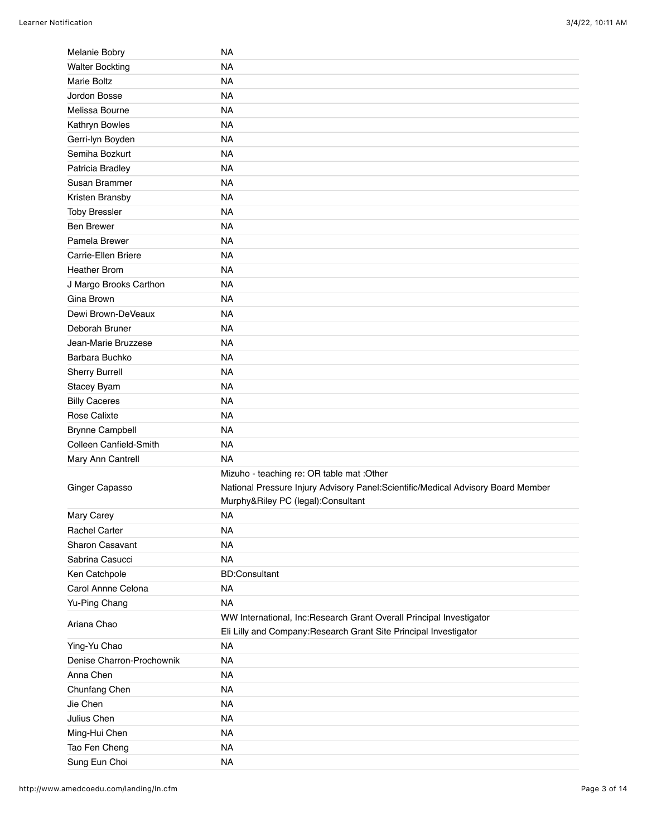| Melanie Bobry                  | NA                                                                                |
|--------------------------------|-----------------------------------------------------------------------------------|
| <b>Walter Bockting</b>         | <b>NA</b>                                                                         |
| <b>Marie Boltz</b>             | <b>NA</b>                                                                         |
| Jordon Bosse                   | <b>NA</b>                                                                         |
| Melissa Bourne                 | <b>NA</b>                                                                         |
| Kathryn Bowles                 | <b>NA</b>                                                                         |
| Gerri-lyn Boyden               | <b>NA</b>                                                                         |
| Semiha Bozkurt                 | <b>NA</b>                                                                         |
| Patricia Bradley               | <b>NA</b>                                                                         |
| Susan Brammer                  | <b>NA</b>                                                                         |
| Kristen Bransby                | <b>NA</b>                                                                         |
| <b>Toby Bressler</b>           | <b>NA</b>                                                                         |
| <b>Ben Brewer</b>              | <b>NA</b>                                                                         |
| Pamela Brewer                  | <b>NA</b>                                                                         |
| Carrie-Ellen Briere            | <b>NA</b>                                                                         |
| <b>Heather Brom</b>            | <b>NA</b>                                                                         |
| J Margo Brooks Carthon         | <b>NA</b>                                                                         |
| Gina Brown                     | <b>NA</b>                                                                         |
| Dewi Brown-DeVeaux             | <b>NA</b>                                                                         |
| Deborah Bruner                 | <b>NA</b>                                                                         |
| Jean-Marie Bruzzese            | <b>NA</b>                                                                         |
| Barbara Buchko                 | <b>NA</b>                                                                         |
| Sherry Burrell                 | <b>NA</b>                                                                         |
| Stacey Byam                    | <b>NA</b>                                                                         |
| <b>Billy Caceres</b>           | <b>NA</b>                                                                         |
| Rose Calixte                   | <b>NA</b>                                                                         |
| <b>Brynne Campbell</b>         | <b>NA</b>                                                                         |
| Colleen Canfield-Smith         | <b>NA</b>                                                                         |
| Mary Ann Cantrell              | <b>NA</b>                                                                         |
|                                | Mizuho - teaching re: OR table mat : Other                                        |
| Ginger Capasso                 | National Pressure Injury Advisory Panel: Scientific/Medical Advisory Board Member |
|                                |                                                                                   |
|                                | Murphy&Riley PC (legal):Consultant                                                |
| Mary Carey                     | <b>NA</b>                                                                         |
| <b>Rachel Carter</b>           | <b>NA</b>                                                                         |
| Sharon Casavant                | <b>NA</b>                                                                         |
| Sabrina Casucci                | <b>NA</b>                                                                         |
| Ken Catchpole                  | <b>BD:Consultant</b>                                                              |
| Carol Annne Celona             | <b>NA</b>                                                                         |
| Yu-Ping Chang                  | <b>NA</b>                                                                         |
| Ariana Chao                    | WW International, Inc:Research Grant Overall Principal Investigator               |
|                                | Eli Lilly and Company: Research Grant Site Principal Investigator                 |
| Ying-Yu Chao                   | <b>NA</b>                                                                         |
| Denise Charron-Prochownik      | <b>NA</b>                                                                         |
| Anna Chen                      | <b>NA</b>                                                                         |
| Chunfang Chen                  | <b>NA</b>                                                                         |
| Jie Chen                       | <b>NA</b>                                                                         |
| Julius Chen                    | <b>NA</b>                                                                         |
| Ming-Hui Chen                  | <b>NA</b>                                                                         |
| Tao Fen Cheng<br>Sung Eun Choi | <b>NA</b><br><b>NA</b>                                                            |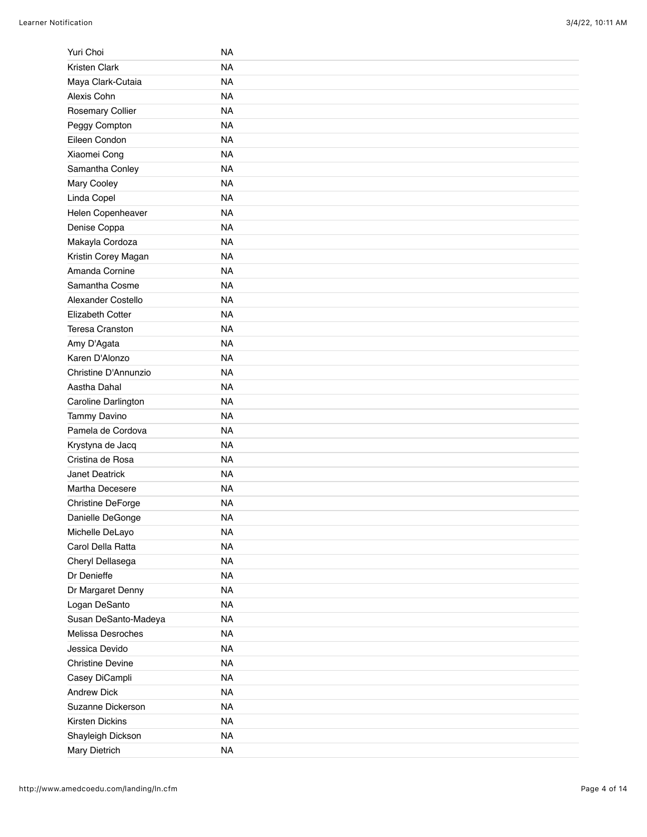| Yuri Choi               | <b>NA</b> |
|-------------------------|-----------|
| Kristen Clark           | <b>NA</b> |
| Maya Clark-Cutaia       | <b>NA</b> |
| Alexis Cohn             | <b>NA</b> |
| Rosemary Collier        | <b>NA</b> |
| Peggy Compton           | <b>NA</b> |
| Eileen Condon           | <b>NA</b> |
| Xiaomei Cong            | <b>NA</b> |
| Samantha Conley         | <b>NA</b> |
| Mary Cooley             | <b>NA</b> |
| Linda Copel             | <b>NA</b> |
| Helen Copenheaver       | <b>NA</b> |
| Denise Coppa            | <b>NA</b> |
| Makayla Cordoza         | <b>NA</b> |
| Kristin Corey Magan     | <b>NA</b> |
| Amanda Cornine          | <b>NA</b> |
| Samantha Cosme          | <b>NA</b> |
| Alexander Costello      | <b>NA</b> |
| Elizabeth Cotter        | <b>NA</b> |
| Teresa Cranston         | <b>NA</b> |
| Amy D'Agata             | <b>NA</b> |
| Karen D'Alonzo          | <b>NA</b> |
| Christine D'Annunzio    | <b>NA</b> |
| Aastha Dahal            | <b>NA</b> |
| Caroline Darlington     | <b>NA</b> |
| <b>Tammy Davino</b>     | <b>NA</b> |
| Pamela de Cordova       | <b>NA</b> |
| Krystyna de Jacq        | <b>NA</b> |
| Cristina de Rosa        | <b>NA</b> |
| Janet Deatrick          | <b>NA</b> |
| Martha Decesere         | <b>NA</b> |
| Christine DeForge       | <b>NA</b> |
| Danielle DeGonge        | <b>NA</b> |
| Michelle DeLayo         | <b>NA</b> |
| Carol Della Ratta       | <b>NA</b> |
| Cheryl Dellasega        | <b>NA</b> |
| Dr Denieffe             | <b>NA</b> |
| Dr Margaret Denny       | <b>NA</b> |
| Logan DeSanto           | <b>NA</b> |
| Susan DeSanto-Madeya    | <b>NA</b> |
| Melissa Desroches       | <b>NA</b> |
| Jessica Devido          | <b>NA</b> |
| <b>Christine Devine</b> | <b>NA</b> |
| Casey DiCampli          | <b>NA</b> |
| <b>Andrew Dick</b>      | <b>NA</b> |
| Suzanne Dickerson       | <b>NA</b> |
| Kirsten Dickins         | <b>NA</b> |
| Shayleigh Dickson       | <b>NA</b> |
| Mary Dietrich           | <b>NA</b> |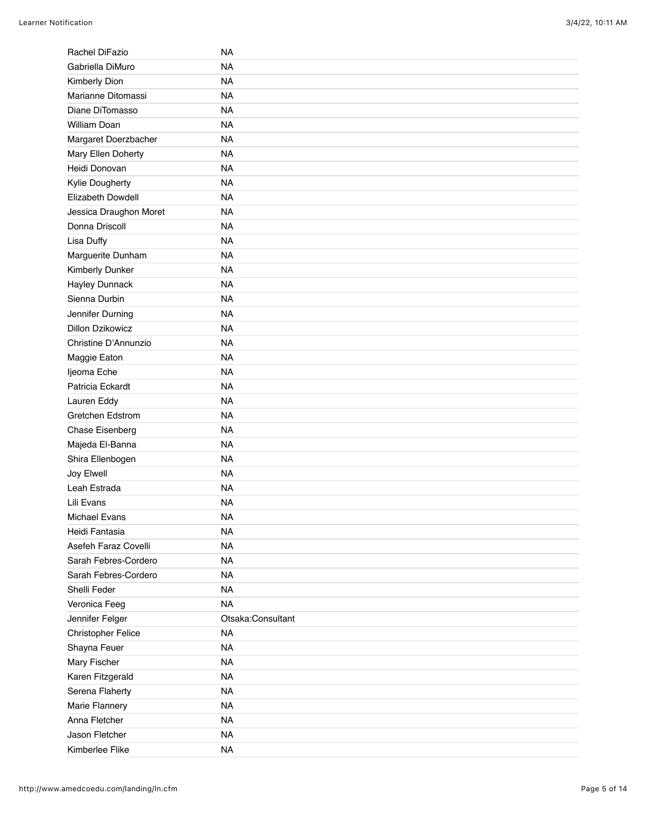| Rachel DiFazio            | NA                |
|---------------------------|-------------------|
| Gabriella DiMuro          | <b>NA</b>         |
| Kimberly Dion             | <b>NA</b>         |
| Marianne Ditomassi        | <b>NA</b>         |
| Diane DiTomasso           | <b>NA</b>         |
| William Doan              | <b>NA</b>         |
| Margaret Doerzbacher      | <b>NA</b>         |
| Mary Ellen Doherty        | <b>NA</b>         |
| Heidi Donovan             | <b>NA</b>         |
| Kylie Dougherty           | <b>NA</b>         |
| Elizabeth Dowdell         | <b>NA</b>         |
| Jessica Draughon Moret    | <b>NA</b>         |
| Donna Driscoll            | <b>NA</b>         |
| Lisa Duffy                | <b>NA</b>         |
| Marguerite Dunham         | <b>NA</b>         |
| Kimberly Dunker           | <b>NA</b>         |
| <b>Hayley Dunnack</b>     | <b>NA</b>         |
| Sienna Durbin             | <b>NA</b>         |
| Jennifer Durning          | <b>NA</b>         |
| <b>Dillon Dzikowicz</b>   | <b>NA</b>         |
| Christine D'Annunzio      | <b>NA</b>         |
| Maggie Eaton              | <b>NA</b>         |
| Ijeoma Eche               | <b>NA</b>         |
| Patricia Eckardt          | <b>NA</b>         |
| Lauren Eddy               | <b>NA</b>         |
| Gretchen Edstrom          | <b>NA</b>         |
| Chase Eisenberg           | <b>NA</b>         |
| Majeda El-Banna           | <b>NA</b>         |
| Shira Ellenbogen          | <b>NA</b>         |
| Joy Elwell                | <b>NA</b>         |
| Leah Estrada              | <b>NA</b>         |
| Lili Evans                | <b>NA</b>         |
| <b>Michael Evans</b>      | <b>NA</b>         |
| Heidi Fantasia            | <b>NA</b>         |
| Asefeh Faraz Covelli      | <b>NA</b>         |
| Sarah Febres-Cordero      | <b>NA</b>         |
| Sarah Febres-Cordero      | <b>NA</b>         |
| Shelli Feder              | <b>NA</b>         |
| Veronica Feeg             | <b>NA</b>         |
| Jennifer Felger           | Otsaka:Consultant |
| <b>Christopher Felice</b> | <b>NA</b>         |
| Shayna Feuer              | <b>NA</b>         |
| Mary Fischer              | <b>NA</b>         |
| Karen Fitzgerald          | <b>NA</b>         |
| Serena Flaherty           | <b>NA</b>         |
| Marie Flannery            | <b>NA</b>         |
| Anna Fletcher             | <b>NA</b>         |
| Jason Fletcher            | <b>NA</b>         |
| Kimberlee Flike           | <b>NA</b>         |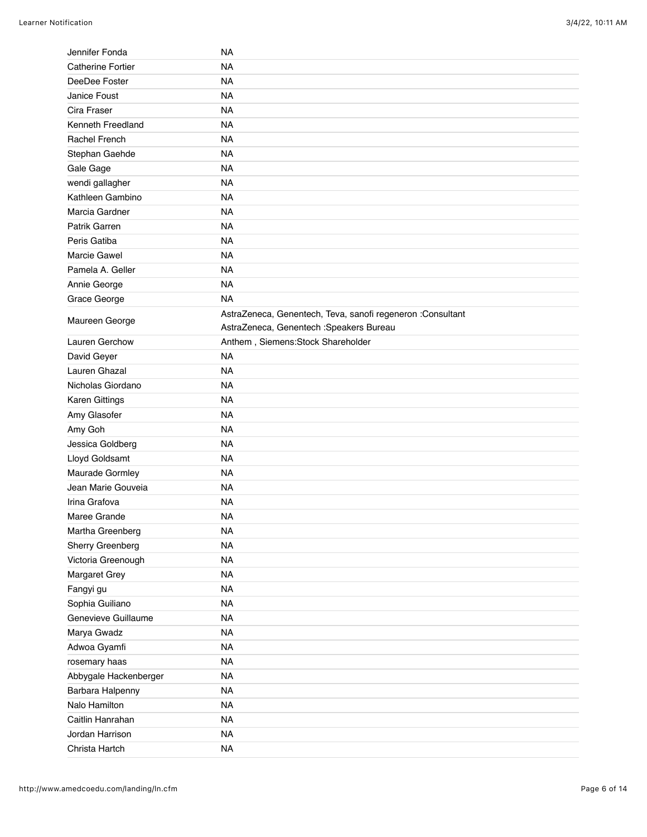| Jennifer Fonda           | NA                                                         |
|--------------------------|------------------------------------------------------------|
| <b>Catherine Fortier</b> | <b>NA</b>                                                  |
| DeeDee Foster            | <b>NA</b>                                                  |
| Janice Foust             | <b>NA</b>                                                  |
| Cira Fraser              | <b>NA</b>                                                  |
| Kenneth Freedland        | <b>NA</b>                                                  |
| Rachel French            | <b>NA</b>                                                  |
| Stephan Gaehde           | <b>NA</b>                                                  |
| Gale Gage                | <b>NA</b>                                                  |
| wendi gallagher          | <b>NA</b>                                                  |
| Kathleen Gambino         | <b>NA</b>                                                  |
| Marcia Gardner           | <b>NA</b>                                                  |
| Patrik Garren            | <b>NA</b>                                                  |
| Peris Gatiba             | <b>NA</b>                                                  |
| Marcie Gawel             | <b>NA</b>                                                  |
| Pamela A. Geller         | <b>NA</b>                                                  |
| Annie George             | <b>NA</b>                                                  |
| Grace George             | <b>NA</b>                                                  |
|                          | AstraZeneca, Genentech, Teva, sanofi regeneron :Consultant |
| Maureen George           | AstraZeneca, Genentech : Speakers Bureau                   |
| Lauren Gerchow           | Anthem, Siemens: Stock Shareholder                         |
| David Geyer              | <b>NA</b>                                                  |
| Lauren Ghazal            | <b>NA</b>                                                  |
| Nicholas Giordano        | <b>NA</b>                                                  |
| Karen Gittings           | <b>NA</b>                                                  |
| Amy Glasofer             | <b>NA</b>                                                  |
| Amy Goh                  | <b>NA</b>                                                  |
| Jessica Goldberg         | <b>NA</b>                                                  |
| Lloyd Goldsamt           | <b>NA</b>                                                  |
| Maurade Gormley          | <b>NA</b>                                                  |
| Jean Marie Gouveia       | <b>NA</b>                                                  |
| Irina Grafova            | <b>NA</b>                                                  |
| Maree Grande             | <b>NA</b>                                                  |
| Martha Greenberg         | <b>NA</b>                                                  |
| Sherry Greenberg         | <b>NA</b>                                                  |
| Victoria Greenough       | <b>NA</b>                                                  |
| Margaret Grey            | <b>NA</b>                                                  |
| Fangyi gu                | <b>NA</b>                                                  |
| Sophia Guiliano          | <b>NA</b>                                                  |
| Genevieve Guillaume      | <b>NA</b>                                                  |
| Marya Gwadz              | <b>NA</b>                                                  |
| Adwoa Gyamfi             | <b>NA</b>                                                  |
| rosemary haas            | <b>NA</b>                                                  |
| Abbygale Hackenberger    | <b>NA</b>                                                  |
| Barbara Halpenny         | <b>NA</b>                                                  |
| Nalo Hamilton            | <b>NA</b>                                                  |
| Caitlin Hanrahan         | <b>NA</b>                                                  |
| Jordan Harrison          | <b>NA</b>                                                  |
| Christa Hartch           | <b>NA</b>                                                  |
|                          |                                                            |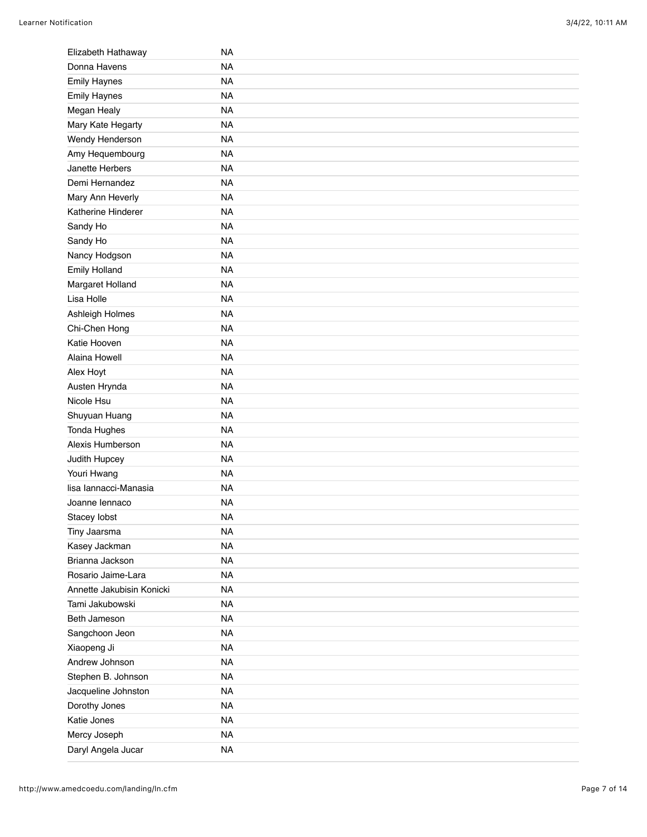| Elizabeth Hathaway        | <b>NA</b> |
|---------------------------|-----------|
| Donna Havens              | <b>NA</b> |
| <b>Emily Haynes</b>       | <b>NA</b> |
| <b>Emily Haynes</b>       | <b>NA</b> |
| Megan Healy               | <b>NA</b> |
| Mary Kate Hegarty         | <b>NA</b> |
| Wendy Henderson           | <b>NA</b> |
| Amy Hequembourg           | <b>NA</b> |
| Janette Herbers           | <b>NA</b> |
| Demi Hernandez            | <b>NA</b> |
| Mary Ann Heverly          | <b>NA</b> |
| Katherine Hinderer        | <b>NA</b> |
| Sandy Ho                  | <b>NA</b> |
| Sandy Ho                  | <b>NA</b> |
| Nancy Hodgson             | <b>NA</b> |
| <b>Emily Holland</b>      | <b>NA</b> |
| Margaret Holland          | <b>NA</b> |
| Lisa Holle                | <b>NA</b> |
| Ashleigh Holmes           | <b>NA</b> |
| Chi-Chen Hong             | <b>NA</b> |
| Katie Hooven              | <b>NA</b> |
| Alaina Howell             | <b>NA</b> |
| Alex Hoyt                 | <b>NA</b> |
| Austen Hrynda             | <b>NA</b> |
| Nicole Hsu                | <b>NA</b> |
| Shuyuan Huang             | <b>NA</b> |
| Tonda Hughes              | <b>NA</b> |
| Alexis Humberson          | <b>NA</b> |
| Judith Hupcey             | <b>NA</b> |
| Youri Hwang               | <b>NA</b> |
| lisa lannacci-Manasia     | <b>NA</b> |
| Joanne lennaco            | <b>NA</b> |
| Stacey lobst              | <b>NA</b> |
| Tiny Jaarsma              | <b>NA</b> |
| Kasey Jackman             | <b>NA</b> |
| Brianna Jackson           | <b>NA</b> |
| Rosario Jaime-Lara        | <b>NA</b> |
| Annette Jakubisin Konicki | <b>NA</b> |
| Tami Jakubowski           | <b>NA</b> |
| Beth Jameson              | <b>NA</b> |
| Sangchoon Jeon            | <b>NA</b> |
| Xiaopeng Ji               | <b>NA</b> |
| Andrew Johnson            | <b>NA</b> |
| Stephen B. Johnson        | <b>NA</b> |
| Jacqueline Johnston       | <b>NA</b> |
| Dorothy Jones             | <b>NA</b> |
| Katie Jones               | <b>NA</b> |
| Mercy Joseph              | <b>NA</b> |
| Daryl Angela Jucar        | <b>NA</b> |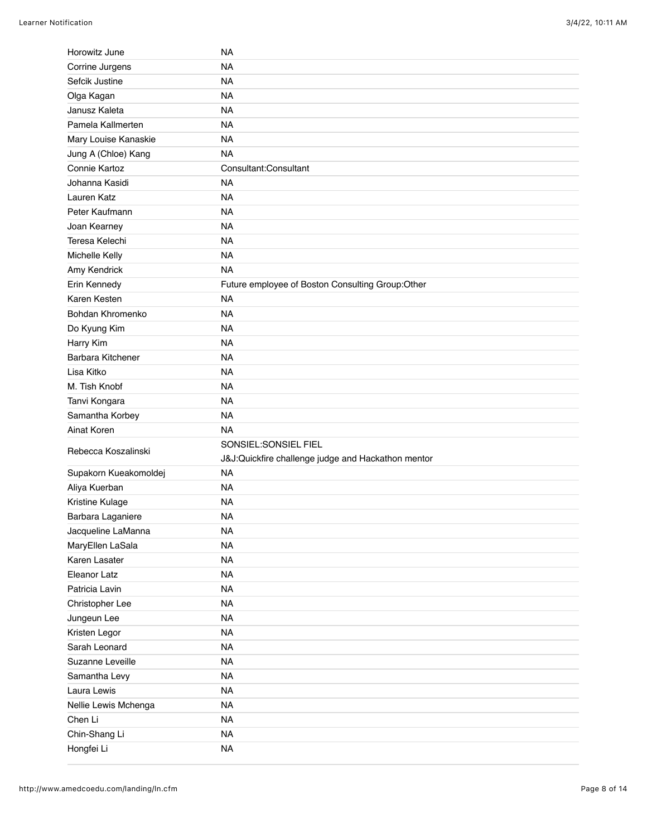| Horowitz June               | <b>NA</b>                                          |
|-----------------------------|----------------------------------------------------|
| Corrine Jurgens             | <b>NA</b>                                          |
| Sefcik Justine              | <b>NA</b>                                          |
| Olga Kagan                  | <b>NA</b>                                          |
| Janusz Kaleta               | <b>NA</b>                                          |
| Pamela Kallmerten           | <b>NA</b>                                          |
| Mary Louise Kanaskie        | <b>NA</b>                                          |
| Jung A (Chloe) Kang         | <b>NA</b>                                          |
| Connie Kartoz               | Consultant:Consultant                              |
| Johanna Kasidi              | <b>NA</b>                                          |
| Lauren Katz                 | <b>NA</b>                                          |
| Peter Kaufmann              | <b>NA</b>                                          |
| Joan Kearney                | <b>NA</b>                                          |
| Teresa Kelechi              | <b>NA</b>                                          |
| Michelle Kelly              | <b>NA</b>                                          |
| Amy Kendrick                | <b>NA</b>                                          |
| Erin Kennedy                | Future employee of Boston Consulting Group:Other   |
| Karen Kesten                | <b>NA</b>                                          |
| Bohdan Khromenko            | <b>NA</b>                                          |
| Do Kyung Kim                | <b>NA</b>                                          |
| Harry Kim                   | <b>NA</b>                                          |
| Barbara Kitchener           | <b>NA</b>                                          |
| Lisa Kitko                  | <b>NA</b>                                          |
| M. Tish Knobf               | <b>NA</b>                                          |
|                             |                                                    |
| Tanvi Kongara               | <b>NA</b>                                          |
| Samantha Korbey             | <b>NA</b>                                          |
| Ainat Koren                 | <b>NA</b>                                          |
|                             | SONSIEL:SONSIEL FIEL                               |
| Rebecca Koszalinski         | J&J:Quickfire challenge judge and Hackathon mentor |
| Supakorn Kueakomoldej       | <b>NA</b>                                          |
| Aliya Kuerban               | <b>NA</b>                                          |
| Kristine Kulage             | <b>NA</b>                                          |
| Barbara Laganiere           | <b>NA</b>                                          |
| Jacqueline LaManna          | <b>NA</b>                                          |
| MaryEllen LaSala            | <b>NA</b>                                          |
| Karen Lasater               | <b>NA</b>                                          |
| Eleanor Latz                | <b>NA</b>                                          |
| Patricia Lavin              | <b>NA</b>                                          |
| Christopher Lee             | <b>NA</b>                                          |
| Jungeun Lee                 | <b>NA</b>                                          |
| Kristen Legor               | <b>NA</b>                                          |
| Sarah Leonard               | <b>NA</b>                                          |
| Suzanne Leveille            | <b>NA</b>                                          |
| Samantha Levy               | <b>NA</b>                                          |
| Laura Lewis                 | <b>NA</b>                                          |
| Nellie Lewis Mchenga        | <b>NA</b>                                          |
| Chen Li                     | <b>NA</b>                                          |
| Chin-Shang Li<br>Hongfei Li | <b>NA</b><br><b>NA</b>                             |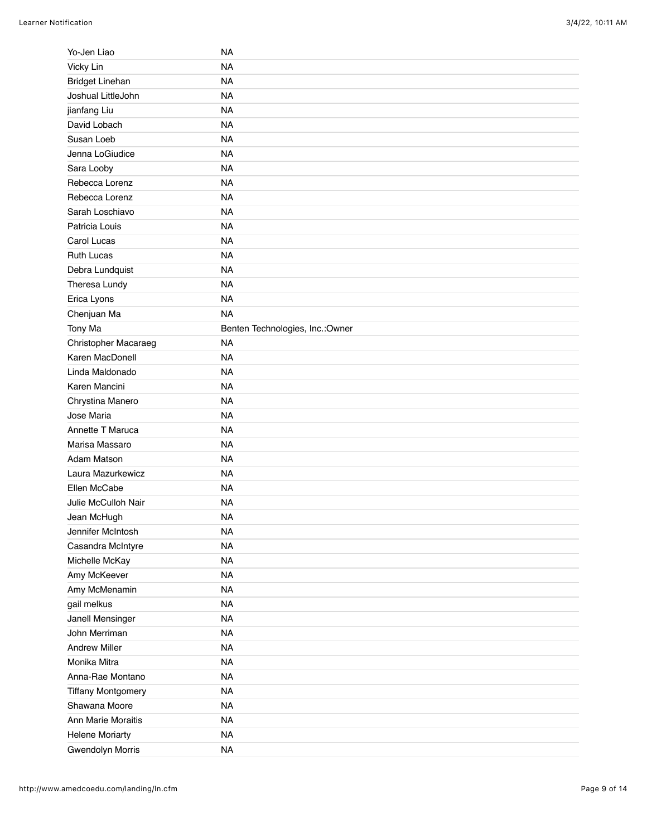| Yo-Jen Liao               | NA                               |
|---------------------------|----------------------------------|
| Vicky Lin                 | <b>NA</b>                        |
| <b>Bridget Linehan</b>    | <b>NA</b>                        |
| Joshual LittleJohn        | <b>NA</b>                        |
| jianfang Liu              | <b>NA</b>                        |
| David Lobach              | <b>NA</b>                        |
| Susan Loeb                | <b>NA</b>                        |
| Jenna LoGiudice           | <b>NA</b>                        |
| Sara Looby                | <b>NA</b>                        |
| Rebecca Lorenz            | <b>NA</b>                        |
| Rebecca Lorenz            | <b>NA</b>                        |
| Sarah Loschiavo           | <b>NA</b>                        |
| Patricia Louis            | <b>NA</b>                        |
| Carol Lucas               | <b>NA</b>                        |
| <b>Ruth Lucas</b>         | <b>NA</b>                        |
| Debra Lundquist           | <b>NA</b>                        |
| Theresa Lundy             | <b>NA</b>                        |
| Erica Lyons               | <b>NA</b>                        |
| Chenjuan Ma               | <b>NA</b>                        |
| Tony Ma                   | Benten Technologies, Inc.: Owner |
| Christopher Macaraeg      | <b>NA</b>                        |
| Karen MacDonell           | <b>NA</b>                        |
| Linda Maldonado           | <b>NA</b>                        |
| Karen Mancini             | <b>NA</b>                        |
| Chrystina Manero          | <b>NA</b>                        |
| Jose Maria                | <b>NA</b>                        |
| Annette T Maruca          | <b>NA</b>                        |
| Marisa Massaro            | <b>NA</b>                        |
| Adam Matson               | <b>NA</b>                        |
| Laura Mazurkewicz         | <b>NA</b>                        |
| Ellen McCabe              | <b>NA</b>                        |
| Julie McCulloh Nair       | <b>NA</b>                        |
| Jean McHugh               | <b>NA</b>                        |
| Jennifer McIntosh         | <b>NA</b>                        |
| Casandra McIntyre         | <b>NA</b>                        |
| Michelle McKay            | <b>NA</b>                        |
| Amy McKeever              | <b>NA</b>                        |
| Amy McMenamin             | <b>NA</b>                        |
| gail melkus               | <b>NA</b>                        |
| Janell Mensinger          | <b>NA</b>                        |
| John Merriman             | <b>NA</b>                        |
| <b>Andrew Miller</b>      | <b>NA</b>                        |
| Monika Mitra              | <b>NA</b>                        |
|                           |                                  |
| Anna-Rae Montano          | <b>NA</b>                        |
| <b>Tiffany Montgomery</b> | <b>NA</b>                        |
| Shawana Moore             | <b>NA</b>                        |
| Ann Marie Moraitis        | <b>NA</b>                        |
| <b>Helene Moriarty</b>    | <b>NA</b>                        |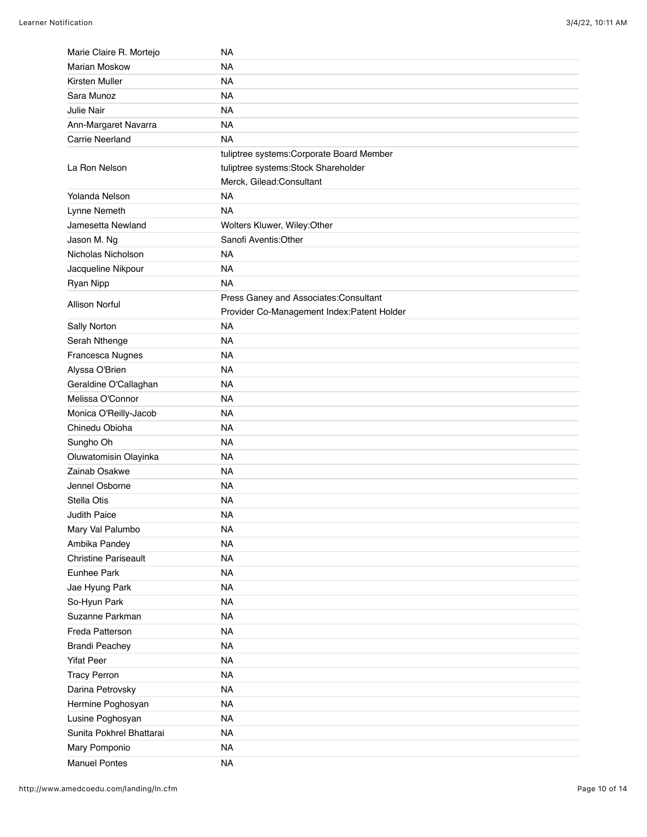| Marie Claire R. Mortejo     | <b>NA</b>                                  |
|-----------------------------|--------------------------------------------|
| <b>Marian Moskow</b>        | <b>NA</b>                                  |
| Kirsten Muller              | <b>NA</b>                                  |
| Sara Munoz                  | <b>NA</b>                                  |
| <b>Julie Nair</b>           | <b>NA</b>                                  |
| Ann-Margaret Navarra        | <b>NA</b>                                  |
| <b>Carrie Neerland</b>      | <b>NA</b>                                  |
|                             | tuliptree systems: Corporate Board Member  |
| La Ron Nelson               | tuliptree systems: Stock Shareholder       |
|                             | Merck, Gilead:Consultant                   |
| Yolanda Nelson              | <b>NA</b>                                  |
| Lynne Nemeth                | <b>NA</b>                                  |
| Jamesetta Newland           | Wolters Kluwer, Wiley:Other                |
| Jason M. Ng                 | Sanofi Aventis: Other                      |
| Nicholas Nicholson          | <b>NA</b>                                  |
| Jacqueline Nikpour          | <b>NA</b>                                  |
| Ryan Nipp                   | <b>NA</b>                                  |
|                             | Press Ganey and Associates: Consultant     |
| <b>Allison Norful</b>       | Provider Co-Management Index:Patent Holder |
| Sally Norton                | <b>NA</b>                                  |
| Serah Nthenge               | <b>NA</b>                                  |
| Francesca Nugnes            | <b>NA</b>                                  |
| Alyssa O'Brien              | <b>NA</b>                                  |
| Geraldine O'Callaghan       | <b>NA</b>                                  |
| Melissa O'Connor            | <b>NA</b>                                  |
| Monica O'Reilly-Jacob       | <b>NA</b>                                  |
| Chinedu Obioha              | <b>NA</b>                                  |
| Sungho Oh                   | <b>NA</b>                                  |
| Oluwatomisin Olayinka       | <b>NA</b>                                  |
| Zainab Osakwe               | <b>NA</b>                                  |
| Jennel Osborne              | <b>NA</b>                                  |
| Stella Otis                 | <b>NA</b>                                  |
| Judith Paice                | <b>NA</b>                                  |
| Mary Val Palumbo            | <b>NA</b>                                  |
| Ambika Pandey               | <b>NA</b>                                  |
| <b>Christine Pariseault</b> | <b>NA</b>                                  |
| Eunhee Park                 | <b>NA</b>                                  |
| Jae Hyung Park              | <b>NA</b>                                  |
| So-Hyun Park                | <b>NA</b>                                  |
| Suzanne Parkman             | <b>NA</b>                                  |
| Freda Patterson             | <b>NA</b>                                  |
| <b>Brandi Peachey</b>       | <b>NA</b>                                  |
| <b>Yifat Peer</b>           | <b>NA</b>                                  |
| <b>Tracy Perron</b>         | <b>NA</b>                                  |
| Darina Petrovsky            | <b>NA</b>                                  |
| Hermine Poghosyan           | <b>NA</b>                                  |
| Lusine Poghosyan            | <b>NA</b>                                  |
| Sunita Pokhrel Bhattarai    | <b>NA</b>                                  |
| Mary Pomponio               | <b>NA</b>                                  |
| <b>Manuel Pontes</b>        | <b>NA</b>                                  |
|                             |                                            |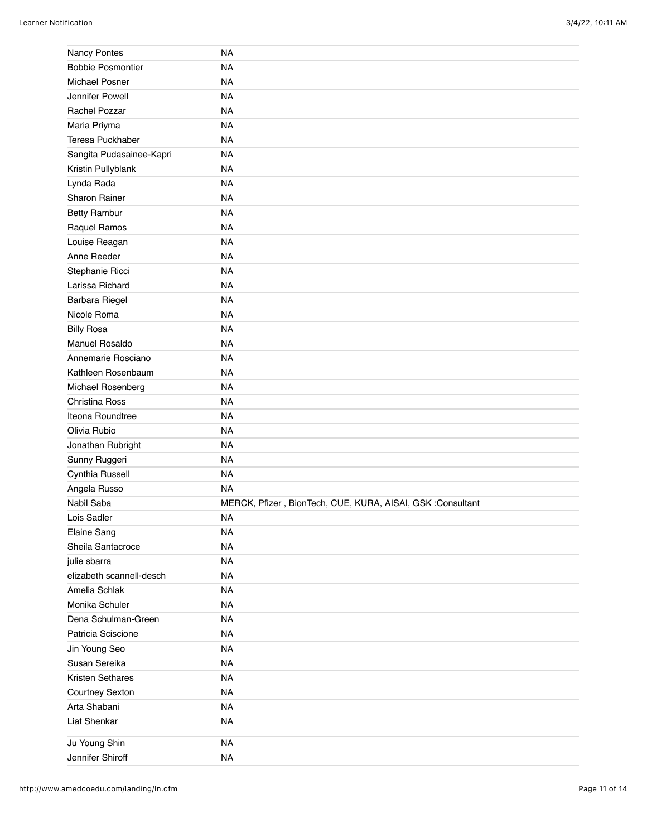| Nancy Pontes             | <b>NA</b>                                                  |
|--------------------------|------------------------------------------------------------|
| <b>Bobbie Posmontier</b> | <b>NA</b>                                                  |
| Michael Posner           | <b>NA</b>                                                  |
| Jennifer Powell          | <b>NA</b>                                                  |
| Rachel Pozzar            | <b>NA</b>                                                  |
| Maria Priyma             | <b>NA</b>                                                  |
| Teresa Puckhaber         | <b>NA</b>                                                  |
| Sangita Pudasainee-Kapri | <b>NA</b>                                                  |
| Kristin Pullyblank       | <b>NA</b>                                                  |
| Lynda Rada               | <b>NA</b>                                                  |
| Sharon Rainer            | <b>NA</b>                                                  |
| <b>Betty Rambur</b>      | <b>NA</b>                                                  |
| Raquel Ramos             | <b>NA</b>                                                  |
| Louise Reagan            | <b>NA</b>                                                  |
| Anne Reeder              | <b>NA</b>                                                  |
| Stephanie Ricci          | <b>NA</b>                                                  |
| Larissa Richard          | <b>NA</b>                                                  |
| Barbara Riegel           | <b>NA</b>                                                  |
| Nicole Roma              | <b>NA</b>                                                  |
| <b>Billy Rosa</b>        | <b>NA</b>                                                  |
| Manuel Rosaldo           | <b>NA</b>                                                  |
| Annemarie Rosciano       | <b>NA</b>                                                  |
| Kathleen Rosenbaum       | <b>NA</b>                                                  |
| Michael Rosenberg        | <b>NA</b>                                                  |
| Christina Ross           | <b>NA</b>                                                  |
| Iteona Roundtree         | <b>NA</b>                                                  |
| Olivia Rubio             | <b>NA</b>                                                  |
| Jonathan Rubright        | <b>NA</b>                                                  |
| Sunny Ruggeri            | <b>NA</b>                                                  |
| Cynthia Russell          | <b>NA</b>                                                  |
| Angela Russo             | <b>NA</b>                                                  |
| Nabil Saba               | MERCK, Pfizer, BionTech, CUE, KURA, AISAI, GSK :Consultant |
| Lois Sadler              | <b>NA</b>                                                  |
| Elaine Sang              | <b>NA</b>                                                  |
| Sheila Santacroce        | <b>NA</b>                                                  |
| julie sbarra             | <b>NA</b>                                                  |
| elizabeth scannell-desch | <b>NA</b>                                                  |
| Amelia Schlak            | <b>NA</b>                                                  |
| Monika Schuler           | <b>NA</b>                                                  |
| Dena Schulman-Green      | <b>NA</b>                                                  |
| Patricia Sciscione       | <b>NA</b>                                                  |
| Jin Young Seo            | <b>NA</b>                                                  |
| Susan Sereika            | <b>NA</b>                                                  |
| Kristen Sethares         | <b>NA</b>                                                  |
| Courtney Sexton          | <b>NA</b>                                                  |
| Arta Shabani             | <b>NA</b>                                                  |
| Liat Shenkar             | <b>NA</b>                                                  |
| Ju Young Shin            | <b>NA</b>                                                  |
| Jennifer Shiroff         | <b>NA</b>                                                  |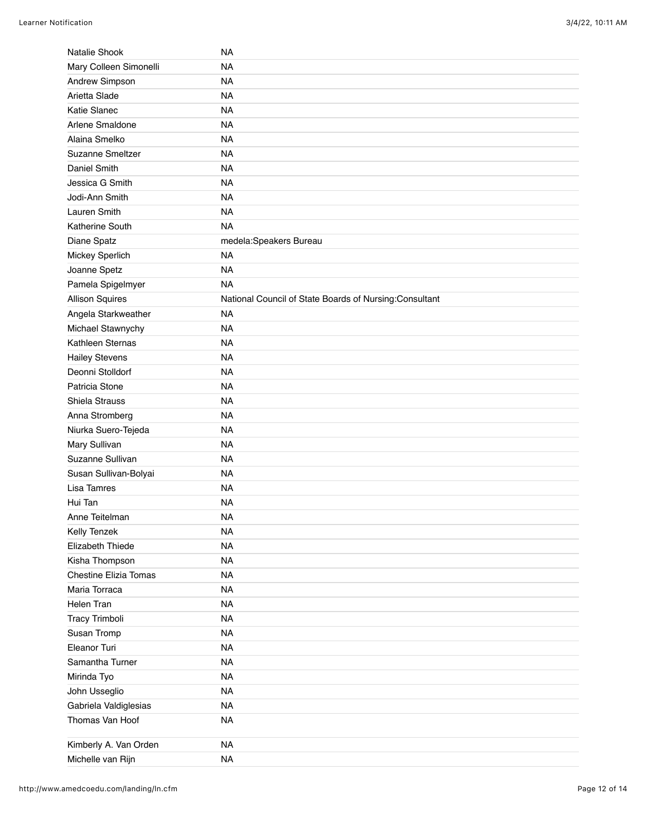| Natalie Shook                            | <b>NA</b>                                              |
|------------------------------------------|--------------------------------------------------------|
| Mary Colleen Simonelli                   | <b>NA</b>                                              |
| Andrew Simpson                           | <b>NA</b>                                              |
| Arietta Slade                            | <b>NA</b>                                              |
| Katie Slanec                             | <b>NA</b>                                              |
| Arlene Smaldone                          | <b>NA</b>                                              |
| Alaina Smelko                            | <b>NA</b>                                              |
| Suzanne Smeltzer                         | <b>NA</b>                                              |
| Daniel Smith                             | <b>NA</b>                                              |
| Jessica G Smith                          | <b>NA</b>                                              |
| Jodi-Ann Smith                           | <b>NA</b>                                              |
| Lauren Smith                             | <b>NA</b>                                              |
| Katherine South                          | <b>NA</b>                                              |
| Diane Spatz                              | medela:Speakers Bureau                                 |
| Mickey Sperlich                          | <b>NA</b>                                              |
| Joanne Spetz                             | <b>NA</b>                                              |
| Pamela Spigelmyer                        | <b>NA</b>                                              |
| <b>Allison Squires</b>                   | National Council of State Boards of Nursing:Consultant |
| Angela Starkweather                      | <b>NA</b>                                              |
| Michael Stawnychy                        | <b>NA</b>                                              |
| Kathleen Sternas                         | <b>NA</b>                                              |
| <b>Hailey Stevens</b>                    | <b>NA</b>                                              |
| Deonni Stolldorf                         | <b>NA</b>                                              |
| Patricia Stone                           | <b>NA</b>                                              |
| Shiela Strauss                           | <b>NA</b>                                              |
| Anna Stromberg                           | <b>NA</b>                                              |
| Niurka Suero-Tejeda                      | <b>NA</b>                                              |
| Mary Sullivan                            | <b>NA</b>                                              |
| Suzanne Sullivan                         | <b>NA</b>                                              |
| Susan Sullivan-Bolyai                    | <b>NA</b>                                              |
| Lisa Tamres                              | <b>NA</b>                                              |
| Hui Tan                                  | <b>NA</b>                                              |
| Anne Teitelman                           | <b>NA</b>                                              |
| Kelly Tenzek                             | <b>NA</b>                                              |
| Elizabeth Thiede                         | <b>NA</b>                                              |
| Kisha Thompson                           | <b>NA</b>                                              |
| <b>Chestine Elizia Tomas</b>             | <b>NA</b>                                              |
| Maria Torraca                            | <b>NA</b>                                              |
| <b>Helen Tran</b>                        | <b>NA</b>                                              |
| Tracy Trimboli                           | <b>NA</b>                                              |
| Susan Tromp                              | <b>NA</b>                                              |
| Eleanor Turi                             | <b>NA</b>                                              |
| Samantha Turner                          | <b>NA</b>                                              |
| Mirinda Tyo                              | <b>NA</b>                                              |
| John Usseglio                            | <b>NA</b>                                              |
|                                          | <b>NA</b>                                              |
| Gabriela Valdiglesias<br>Thomas Van Hoof |                                                        |
|                                          | <b>NA</b>                                              |
| Kimberly A. Van Orden                    | <b>NA</b>                                              |
| Michelle van Rijn                        | <b>NA</b>                                              |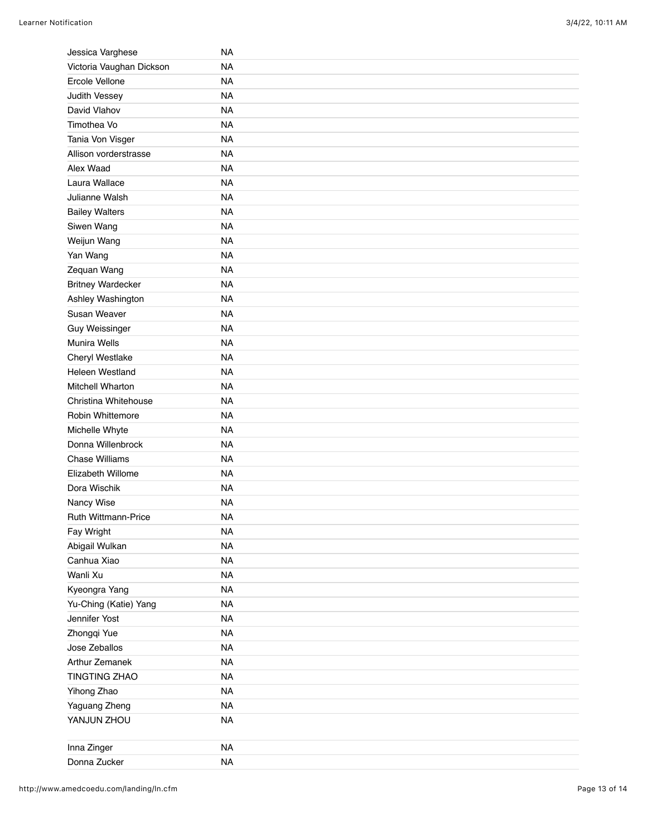| Jessica Varghese         | <b>NA</b> |
|--------------------------|-----------|
| Victoria Vaughan Dickson | <b>NA</b> |
| Ercole Vellone           | <b>NA</b> |
| Judith Vessey            | <b>NA</b> |
| David Vlahov             | <b>NA</b> |
| Timothea Vo              | <b>NA</b> |
| Tania Von Visger         | <b>NA</b> |
| Allison vorderstrasse    | <b>NA</b> |
| Alex Waad                | <b>NA</b> |
| Laura Wallace            | <b>NA</b> |
| Julianne Walsh           | <b>NA</b> |
| <b>Bailey Walters</b>    | <b>NA</b> |
| Siwen Wang               | <b>NA</b> |
| Weijun Wang              | <b>NA</b> |
| Yan Wang                 | <b>NA</b> |
| Zequan Wang              | <b>NA</b> |
| <b>Britney Wardecker</b> | <b>NA</b> |
| Ashley Washington        | <b>NA</b> |
| Susan Weaver             | <b>NA</b> |
| <b>Guy Weissinger</b>    | <b>NA</b> |
| Munira Wells             | <b>NA</b> |
| Cheryl Westlake          | <b>NA</b> |
| <b>Heleen Westland</b>   | <b>NA</b> |
| Mitchell Wharton         | <b>NA</b> |
| Christina Whitehouse     | <b>NA</b> |
| Robin Whittemore         | <b>NA</b> |
| Michelle Whyte           | <b>NA</b> |
| Donna Willenbrock        | <b>NA</b> |
| <b>Chase Williams</b>    | <b>NA</b> |
| Elizabeth Willome        | <b>NA</b> |
| Dora Wischik             | <b>NA</b> |
| Nancy Wise               | <b>NA</b> |
| Ruth Wittmann-Price      | <b>NA</b> |
| Fay Wright               | <b>NA</b> |
| Abigail Wulkan           | <b>NA</b> |
| Canhua Xiao              | <b>NA</b> |
| Wanli Xu                 | <b>NA</b> |
| Kyeongra Yang            | <b>NA</b> |
| Yu-Ching (Katie) Yang    | <b>NA</b> |
| Jennifer Yost            | <b>NA</b> |
| Zhongqi Yue              | <b>NA</b> |
| Jose Zeballos            | <b>NA</b> |
| Arthur Zemanek           | <b>NA</b> |
| <b>TINGTING ZHAO</b>     | <b>NA</b> |
| Yihong Zhao              | <b>NA</b> |
| Yaguang Zheng            | <b>NA</b> |
| YANJUN ZHOU              | <b>NA</b> |
| Inna Zinger              | <b>NA</b> |
| Donna Zucker             | <b>NA</b> |